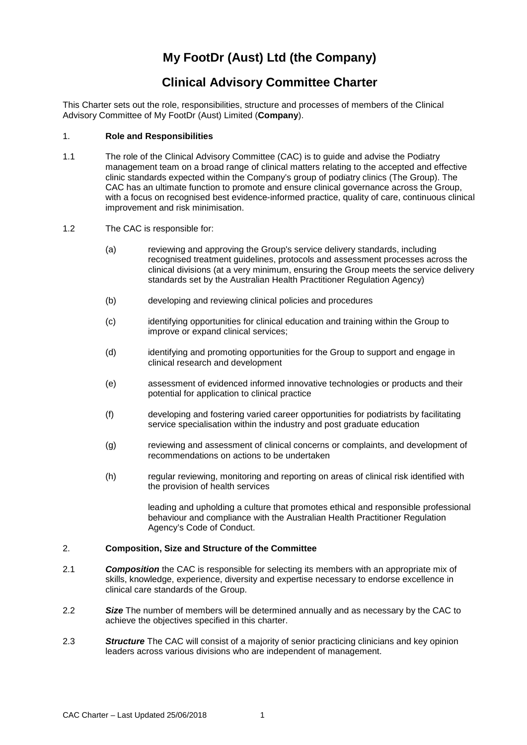# **My FootDr (Aust) Ltd (the Company)**

# **Clinical Advisory Committee Charter**

This Charter sets out the role, responsibilities, structure and processes of members of the Clinical Advisory Committee of My FootDr (Aust) Limited (**Company**).

#### 1. **Role and Responsibilities**

1.1 The role of the Clinical Advisory Committee (CAC) is to guide and advise the Podiatry management team on a broad range of clinical matters relating to the accepted and effective clinic standards expected within the Company's group of podiatry clinics (The Group). The CAC has an ultimate function to promote and ensure clinical governance across the Group, with a focus on recognised best evidence-informed practice, quality of care, continuous clinical improvement and risk minimisation.

#### 1.2 The CAC is responsible for:

- (a) reviewing and approving the Group's service delivery standards, including recognised treatment guidelines, protocols and assessment processes across the clinical divisions (at a very minimum, ensuring the Group meets the service delivery standards set by the Australian Health Practitioner Regulation Agency)
- (b) developing and reviewing clinical policies and procedures
- (c) identifying opportunities for clinical education and training within the Group to improve or expand clinical services;
- (d) identifying and promoting opportunities for the Group to support and engage in clinical research and development
- (e) assessment of evidenced informed innovative technologies or products and their potential for application to clinical practice
- (f) developing and fostering varied career opportunities for podiatrists by facilitating service specialisation within the industry and post graduate education
- (g) reviewing and assessment of clinical concerns or complaints, and development of recommendations on actions to be undertaken
- (h) regular reviewing, monitoring and reporting on areas of clinical risk identified with the provision of health services

leading and upholding a culture that promotes ethical and responsible professional behaviour and compliance with the Australian Health Practitioner Regulation Agency's Code of Conduct.

#### 2. **Composition, Size and Structure of the Committee**

- 2.1 *Composition* the CAC is responsible for selecting its members with an appropriate mix of skills, knowledge, experience, diversity and expertise necessary to endorse excellence in clinical care standards of the Group.
- 2.2 *Size* The number of members will be determined annually and as necessary by the CAC to achieve the objectives specified in this charter.
- 2.3 *Structure* The CAC will consist of a majority of senior practicing clinicians and key opinion leaders across various divisions who are independent of management.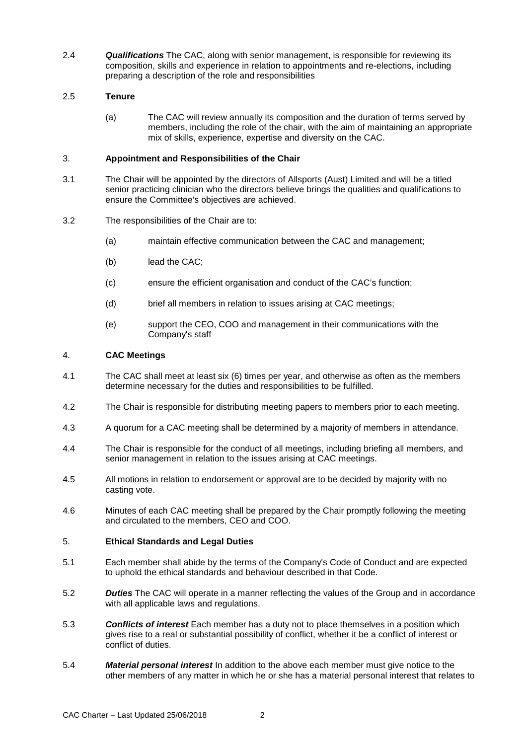2.4 *Qualifications* The CAC, along with senior management, is responsible for reviewing its composition, skills and experience in relation to appointments and re-elections, including preparing a description of the role and responsibilities

### 2.5 **Tenure**

(a) The CAC will review annually its composition and the duration of terms served by members, including the role of the chair, with the aim of maintaining an appropriate mix of skills, experience, expertise and diversity on the CAC.

#### 3. **Appointment and Responsibilities of the Chair**

- 3.1 The Chair will be appointed by the directors of Allsports (Aust) Limited and will be a titled senior practicing clinician who the directors believe brings the qualities and qualifications to ensure the Committee's objectives are achieved.
- 3.2 The responsibilities of the Chair are to:
	- (a) maintain effective communication between the CAC and management;
	- (b) lead the CAC;
	- (c) ensure the efficient organisation and conduct of the CAC's function;
	- (d) brief all members in relation to issues arising at CAC meetings;
	- (e) support the CEO, COO and management in their communications with the Company's staff

#### 4. **CAC Meetings**

- 4.1 The CAC shall meet at least six (6) times per year, and otherwise as often as the members determine necessary for the duties and responsibilities to be fulfilled.
- 4.2 The Chair is responsible for distributing meeting papers to members prior to each meeting.
- 4.3 A quorum for a CAC meeting shall be determined by a majority of members in attendance.
- 4.4 The Chair is responsible for the conduct of all meetings, including briefing all members, and senior management in relation to the issues arising at CAC meetings.
- 4.5 All motions in relation to endorsement or approval are to be decided by majority with no casting vote.
- 4.6 Minutes of each CAC meeting shall be prepared by the Chair promptly following the meeting and circulated to the members, CEO and COO.

#### 5. **Ethical Standards and Legal Duties**

- 5.1 Each member shall abide by the terms of the Company's Code of Conduct and are expected to uphold the ethical standards and behaviour described in that Code.
- 5.2 *Duties* The CAC will operate in a manner reflecting the values of the Group and in accordance with all applicable laws and regulations.
- 5.3 *Conflicts of interest* Each member has a duty not to place themselves in a position which gives rise to a real or substantial possibility of conflict, whether it be a conflict of interest or conflict of duties.
- 5.4 *Material personal interest* In addition to the above each member must give notice to the other members of any matter in which he or she has a material personal interest that relates to